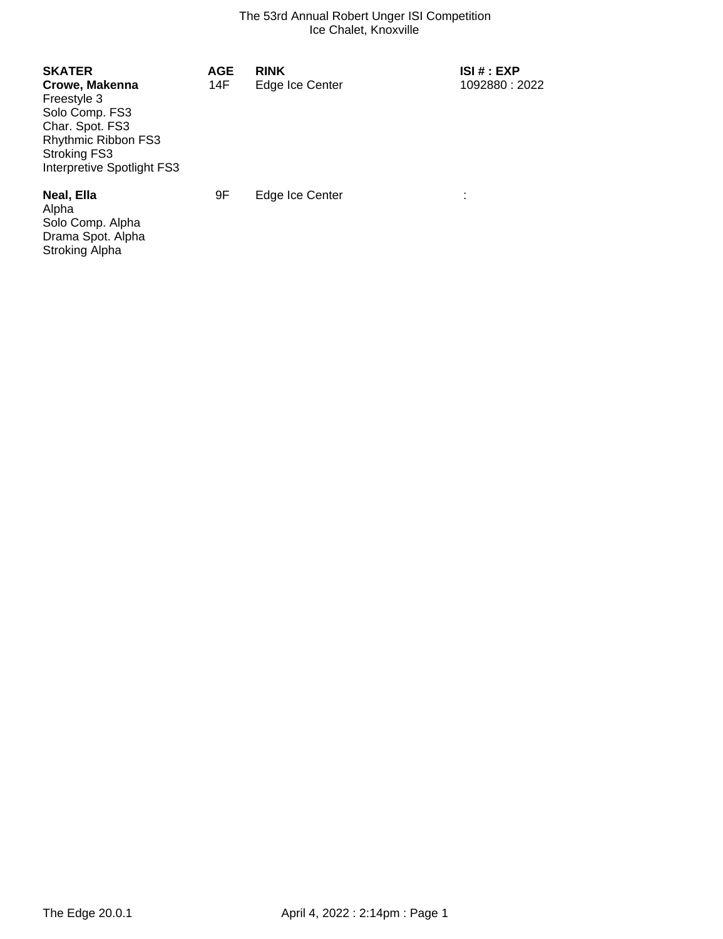| <b>SKATER</b><br>Crowe, Makenna<br>Freestyle 3<br>Solo Comp. FS3<br>Char. Spot. FS3<br><b>Rhythmic Ribbon FS3</b><br><b>Stroking FS3</b><br>Interpretive Spotlight FS3 | <b>AGE</b><br>14F | <b>RINK</b><br>Edge Ice Center | <b>ISI#: EXP</b><br>1092880: 2022 |
|------------------------------------------------------------------------------------------------------------------------------------------------------------------------|-------------------|--------------------------------|-----------------------------------|
| Neal, Ella<br>Alpha<br>Solo Comp. Alpha<br>Drama Spot. Alpha                                                                                                           | 9F                | Edge Ice Center                | ٠<br>$\mathbf{r}$                 |

Stroking Alpha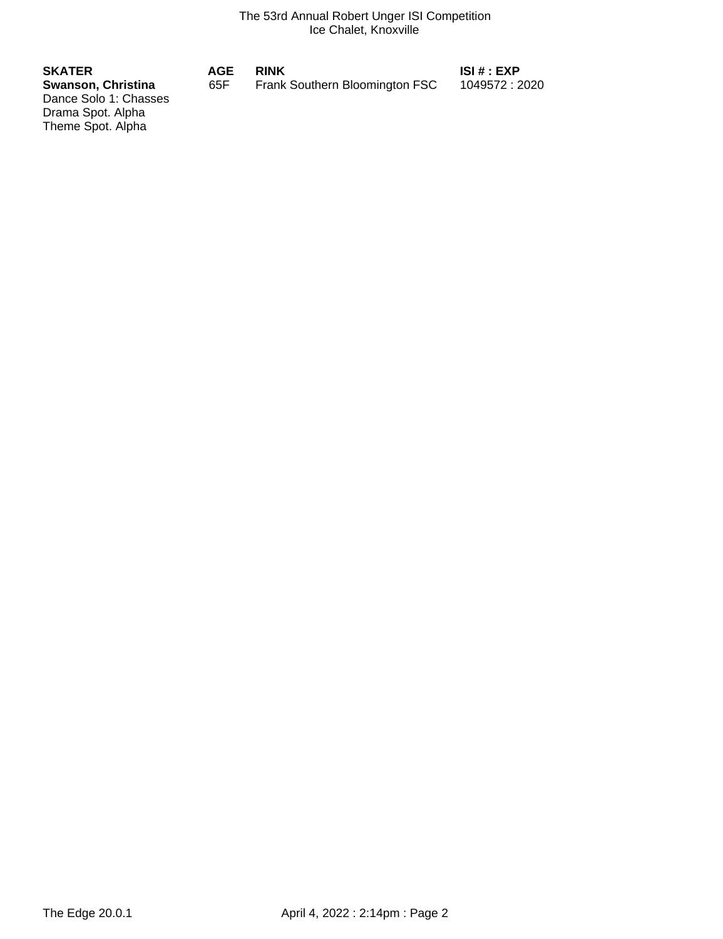| <b>SKATER</b>                                    | AGE | <b>RINK</b>                    | ISI # : EXP    |
|--------------------------------------------------|-----|--------------------------------|----------------|
| <b>Swanson, Christina</b>                        | 65F | Frank Southern Bloomington FSC | 1049572 : 2020 |
| Dance Solo 1: Chasses                            |     |                                |                |
| $\sim$ $\sim$ $\sim$ $\sim$ $\sim$ $\sim$ $\sim$ |     |                                |                |

Drama Spot. Alpha Theme Spot. Alpha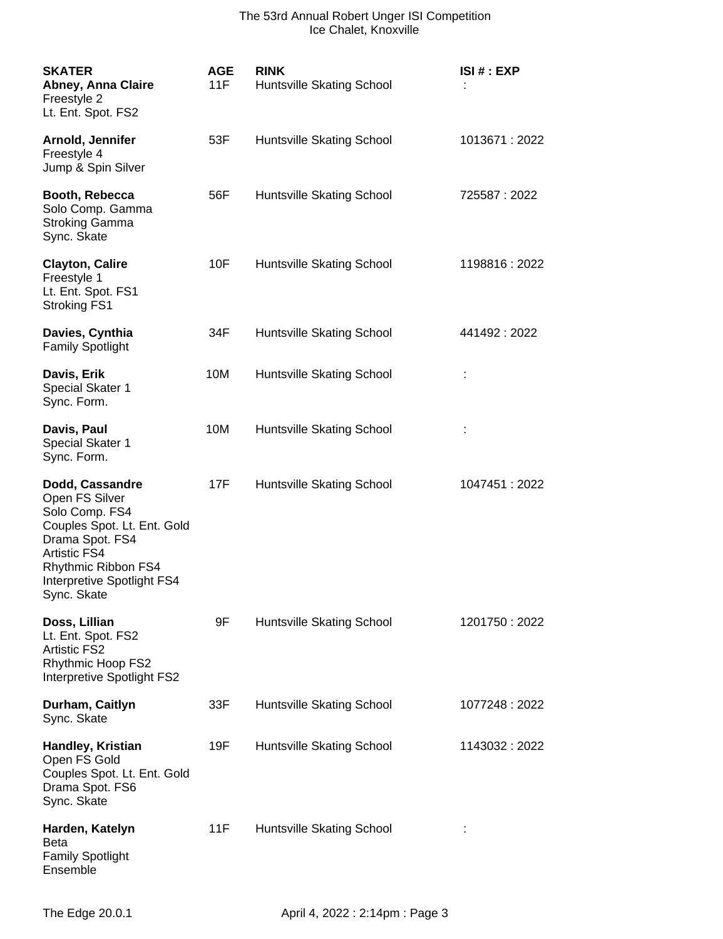| <b>SKATER</b><br>Abney, Anna Claire<br>Freestyle 2<br>Lt. Ent. Spot. FS2                                                                                                                         | <b>AGE</b><br>11F | <b>RINK</b><br>Huntsville Skating School | ISI # : EXP    |
|--------------------------------------------------------------------------------------------------------------------------------------------------------------------------------------------------|-------------------|------------------------------------------|----------------|
| Arnold, Jennifer<br>Freestyle 4<br>Jump & Spin Silver                                                                                                                                            | 53F               | Huntsville Skating School                | 1013671 : 2022 |
| Booth, Rebecca<br>Solo Comp. Gamma<br><b>Stroking Gamma</b><br>Sync. Skate                                                                                                                       | 56F               | Huntsville Skating School                | 725587:2022    |
| <b>Clayton, Calire</b><br>Freestyle 1<br>Lt. Ent. Spot. FS1<br><b>Stroking FS1</b>                                                                                                               | 10F               | Huntsville Skating School                | 1198816 : 2022 |
| Davies, Cynthia<br><b>Family Spotlight</b>                                                                                                                                                       | 34F               | Huntsville Skating School                | 441492 : 2022  |
| Davis, Erik<br>Special Skater 1<br>Sync. Form.                                                                                                                                                   | 10M               | Huntsville Skating School                |                |
| Davis, Paul<br>Special Skater 1<br>Sync. Form.                                                                                                                                                   | 10M               | Huntsville Skating School                |                |
| Dodd, Cassandre<br>Open FS Silver<br>Solo Comp. FS4<br>Couples Spot. Lt. Ent. Gold<br>Drama Spot. FS4<br><b>Artistic FS4</b><br>Rhythmic Ribbon FS4<br>Interpretive Spotlight FS4<br>Sync. Skate | 17F               | Huntsville Skating School                | 1047451:2022   |
| Doss, Lillian<br>Lt. Ent. Spot. FS2<br><b>Artistic FS2</b><br><b>Rhythmic Hoop FS2</b><br>Interpretive Spotlight FS2                                                                             | 9F                | Huntsville Skating School                | 1201750: 2022  |
| Durham, Caitlyn<br>Sync. Skate                                                                                                                                                                   | 33F               | Huntsville Skating School                | 1077248 : 2022 |
| Handley, Kristian<br>Open FS Gold<br>Couples Spot. Lt. Ent. Gold<br>Drama Spot. FS6<br>Sync. Skate                                                                                               | 19F               | Huntsville Skating School                | 1143032:2022   |
| Harden, Katelyn<br><b>Beta</b><br><b>Family Spotlight</b><br>Ensemble                                                                                                                            | 11F               | Huntsville Skating School                |                |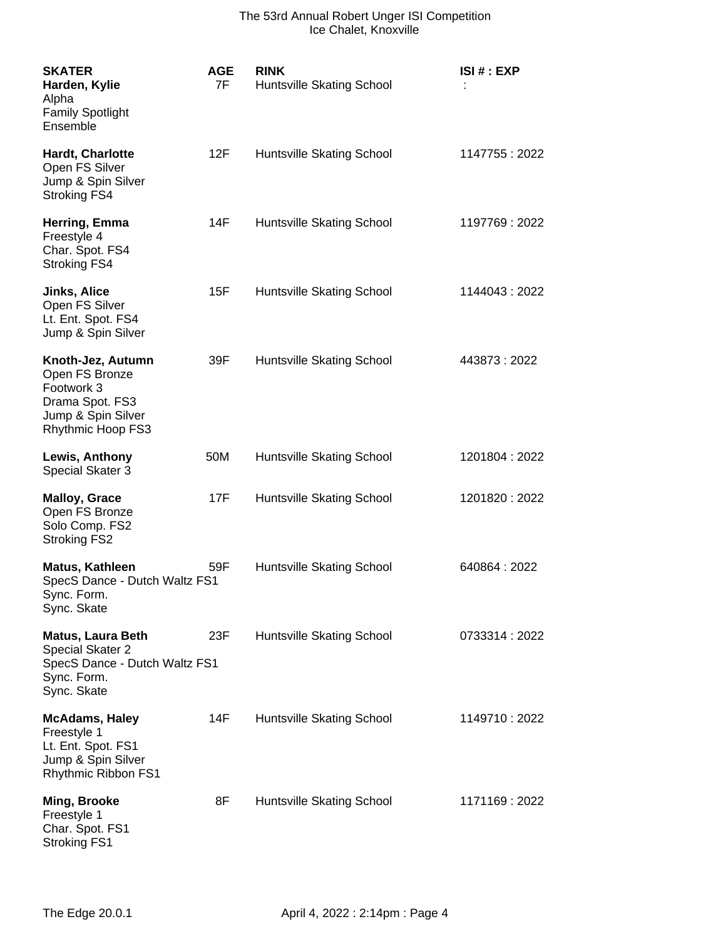| <b>SKATER</b><br>Harden, Kylie<br>Alpha<br><b>Family Spotlight</b><br>Ensemble                                  | <b>AGE</b><br>7F | <b>RINK</b><br>Huntsville Skating School | ISI#:EXP       |
|-----------------------------------------------------------------------------------------------------------------|------------------|------------------------------------------|----------------|
| Hardt, Charlotte<br>Open FS Silver<br>Jump & Spin Silver<br><b>Stroking FS4</b>                                 | 12F              | Huntsville Skating School                | 1147755 : 2022 |
| Herring, Emma<br>Freestyle 4<br>Char. Spot. FS4<br><b>Stroking FS4</b>                                          | 14F              | Huntsville Skating School                | 1197769: 2022  |
| <b>Jinks, Alice</b><br>Open FS Silver<br>Lt. Ent. Spot. FS4<br>Jump & Spin Silver                               | 15F              | Huntsville Skating School                | 1144043 : 2022 |
| Knoth-Jez, Autumn<br>Open FS Bronze<br>Footwork 3<br>Drama Spot. FS3<br>Jump & Spin Silver<br>Rhythmic Hoop FS3 | 39F              | Huntsville Skating School                | 443873:2022    |
| Lewis, Anthony<br>Special Skater 3                                                                              | 50M              | Huntsville Skating School                | 1201804: 2022  |
| <b>Malloy, Grace</b><br>Open FS Bronze<br>Solo Comp. FS2<br><b>Stroking FS2</b>                                 | 17F              | Huntsville Skating School                | 1201820: 2022  |
| Matus, Kathleen<br>SpecS Dance - Dutch Waltz FS1<br>Sync. Form.<br>Sync. Skate                                  | 59F              | Huntsville Skating School                | 640864:2022    |
| <b>Matus, Laura Beth</b><br>Special Skater 2<br>SpecS Dance - Dutch Waltz FS1<br>Sync. Form.<br>Sync. Skate     | 23F              | Huntsville Skating School                | 0733314:2022   |
| <b>McAdams, Haley</b><br>Freestyle 1<br>Lt. Ent. Spot. FS1<br>Jump & Spin Silver<br>Rhythmic Ribbon FS1         | 14F              | Huntsville Skating School                | 1149710 : 2022 |
| Ming, Brooke<br>Freestyle 1<br>Char. Spot. FS1<br><b>Stroking FS1</b>                                           | 8F               | Huntsville Skating School                | 1171169 : 2022 |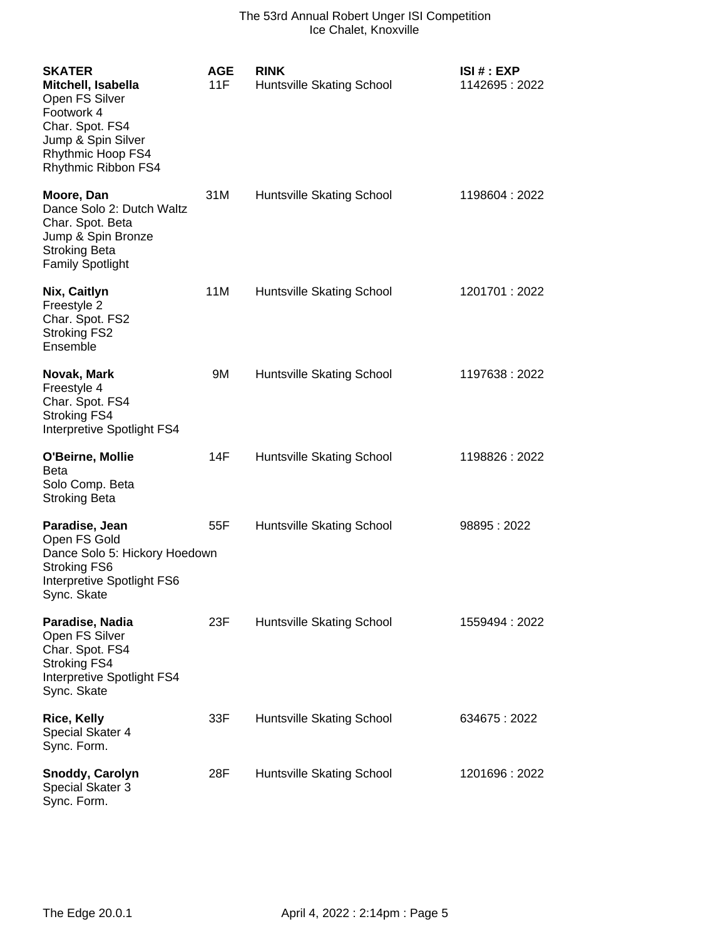| <b>SKATER</b><br>Mitchell, Isabella<br>Open FS Silver<br>Footwork 4<br>Char. Spot. FS4<br>Jump & Spin Silver<br>Rhythmic Hoop FS4<br>Rhythmic Ribbon FS4 | <b>AGE</b><br>11F | <b>RINK</b><br>Huntsville Skating School | ISI#: EXP<br>1142695 : 2022 |
|----------------------------------------------------------------------------------------------------------------------------------------------------------|-------------------|------------------------------------------|-----------------------------|
| Moore, Dan<br>Dance Solo 2: Dutch Waltz<br>Char. Spot. Beta<br>Jump & Spin Bronze<br><b>Stroking Beta</b><br><b>Family Spotlight</b>                     | 31M               | Huntsville Skating School                | 1198604 : 2022              |
| Nix, Caitlyn<br>Freestyle 2<br>Char. Spot. FS2<br><b>Stroking FS2</b><br>Ensemble                                                                        | 11M               | Huntsville Skating School                | 1201701 : 2022              |
| Novak, Mark<br>Freestyle 4<br>Char. Spot. FS4<br><b>Stroking FS4</b><br>Interpretive Spotlight FS4                                                       | 9M                | Huntsville Skating School                | 1197638:2022                |
| O'Beirne, Mollie<br><b>Beta</b><br>Solo Comp. Beta<br><b>Stroking Beta</b>                                                                               | 14F               | Huntsville Skating School                | 1198826 : 2022              |
| Paradise, Jean<br>Open FS Gold<br>Dance Solo 5: Hickory Hoedown<br><b>Stroking FS6</b><br>Interpretive Spotlight FS6<br>Sync. Skate                      | 55F               | Huntsville Skating School                | 98895:2022                  |
| Paradise, Nadia<br>Open FS Silver<br>Char. Spot. FS4<br><b>Stroking FS4</b><br>Interpretive Spotlight FS4<br>Sync. Skate                                 | 23F               | Huntsville Skating School                | 1559494 : 2022              |
| <b>Rice, Kelly</b><br><b>Special Skater 4</b><br>Sync. Form.                                                                                             | 33F               | Huntsville Skating School                | 634675:2022                 |
| Snoddy, Carolyn<br>Special Skater 3<br>Sync. Form.                                                                                                       | 28F               | Huntsville Skating School                | 1201696: 2022               |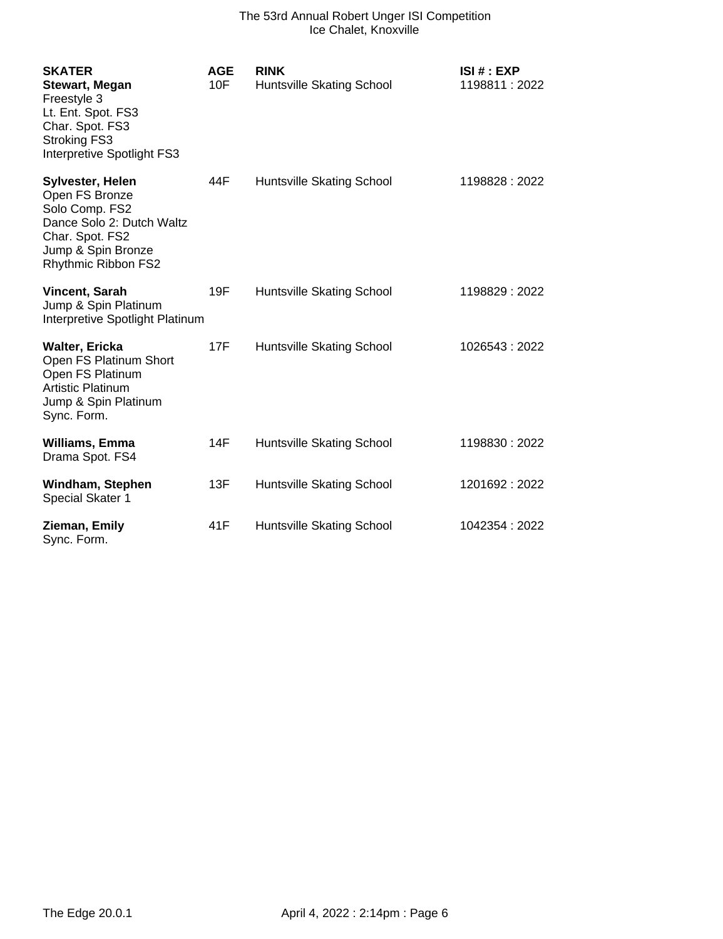| <b>SKATER</b><br><b>Stewart, Megan</b><br>Freestyle 3<br>Lt. Ent. Spot. FS3<br>Char. Spot. FS3<br><b>Stroking FS3</b><br>Interpretive Spotlight FS3 | <b>AGE</b><br>10F | <b>RINK</b><br>Huntsville Skating School | ISI # : EXP<br>1198811:2022 |
|-----------------------------------------------------------------------------------------------------------------------------------------------------|-------------------|------------------------------------------|-----------------------------|
| Sylvester, Helen<br>Open FS Bronze<br>Solo Comp. FS2<br>Dance Solo 2: Dutch Waltz<br>Char. Spot. FS2<br>Jump & Spin Bronze<br>Rhythmic Ribbon FS2   | 44F               | Huntsville Skating School                | 1198828:2022                |
| Vincent, Sarah<br>Jump & Spin Platinum<br>Interpretive Spotlight Platinum                                                                           | 19F               | Huntsville Skating School                | 1198829 : 2022              |
| <b>Walter, Ericka</b><br>Open FS Platinum Short<br>Open FS Platinum<br><b>Artistic Platinum</b><br>Jump & Spin Platinum<br>Sync. Form.              | 17F               | Huntsville Skating School                | 1026543:2022                |
| Williams, Emma<br>Drama Spot. FS4                                                                                                                   | 14F               | Huntsville Skating School                | 1198830: 2022               |
| Windham, Stephen<br>Special Skater 1                                                                                                                | 13F               | Huntsville Skating School                | 1201692: 2022               |
| Zieman, Emily<br>Sync. Form.                                                                                                                        | 41F               | Huntsville Skating School                | 1042354: 2022               |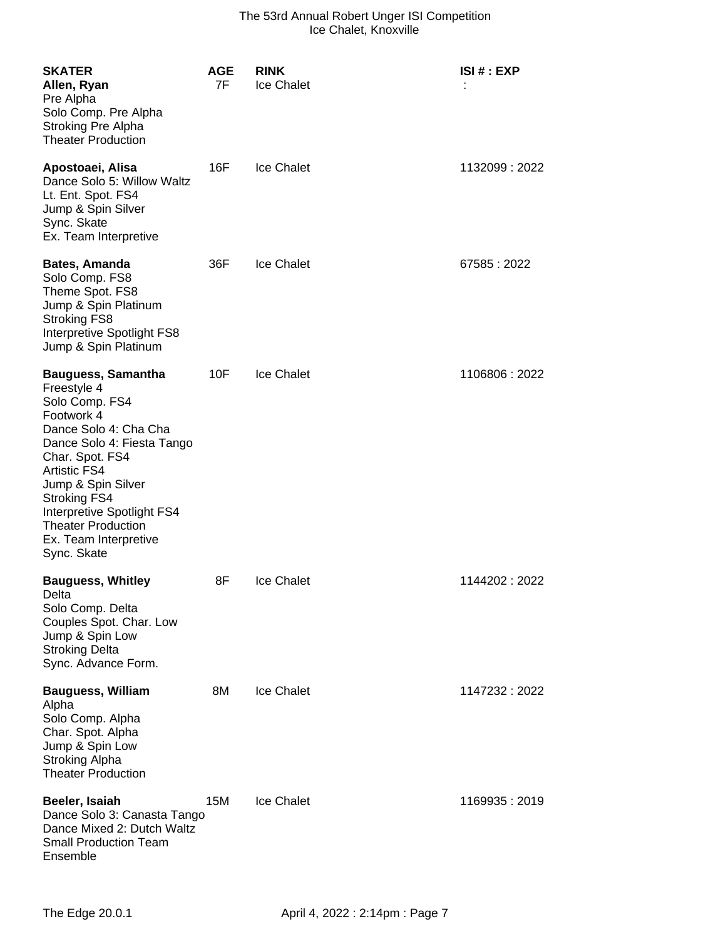| <b>SKATER</b><br>Allen, Ryan<br>Pre Alpha<br>Solo Comp. Pre Alpha<br>Stroking Pre Alpha<br><b>Theater Production</b>                                                                                                                                                                                                      | <b>AGE</b><br>7F | <b>RINK</b><br>Ice Chalet | ISI # : EXP    |
|---------------------------------------------------------------------------------------------------------------------------------------------------------------------------------------------------------------------------------------------------------------------------------------------------------------------------|------------------|---------------------------|----------------|
| Apostoaei, Alisa<br>Dance Solo 5: Willow Waltz<br>Lt. Ent. Spot. FS4<br>Jump & Spin Silver<br>Sync. Skate<br>Ex. Team Interpretive                                                                                                                                                                                        | 16F              | <b>Ice Chalet</b>         | 1132099 : 2022 |
| <b>Bates, Amanda</b><br>Solo Comp. FS8<br>Theme Spot. FS8<br>Jump & Spin Platinum<br><b>Stroking FS8</b><br>Interpretive Spotlight FS8<br>Jump & Spin Platinum                                                                                                                                                            | 36F              | Ice Chalet                | 67585:2022     |
| <b>Bauguess, Samantha</b><br>Freestyle 4<br>Solo Comp. FS4<br>Footwork 4<br>Dance Solo 4: Cha Cha<br>Dance Solo 4: Fiesta Tango<br>Char. Spot. FS4<br><b>Artistic FS4</b><br>Jump & Spin Silver<br><b>Stroking FS4</b><br>Interpretive Spotlight FS4<br><b>Theater Production</b><br>Ex. Team Interpretive<br>Sync. Skate | 10F              | <b>Ice Chalet</b>         | 1106806:2022   |
| <b>Bauguess, Whitley</b><br>Delta<br>Solo Comp. Delta<br>Couples Spot. Char. Low<br>Jump & Spin Low<br><b>Stroking Delta</b><br>Sync. Advance Form.                                                                                                                                                                       | 8F               | <b>Ice Chalet</b>         | 1144202 : 2022 |
| <b>Bauguess, William</b><br>Alpha<br>Solo Comp. Alpha<br>Char. Spot. Alpha<br>Jump & Spin Low<br><b>Stroking Alpha</b><br><b>Theater Production</b>                                                                                                                                                                       | 8M               | Ice Chalet                | 1147232 : 2022 |
| Beeler, Isaiah<br>Dance Solo 3: Canasta Tango<br>Dance Mixed 2: Dutch Waltz<br><b>Small Production Team</b><br>Ensemble                                                                                                                                                                                                   | 15M              | <b>Ice Chalet</b>         | 1169935 : 2019 |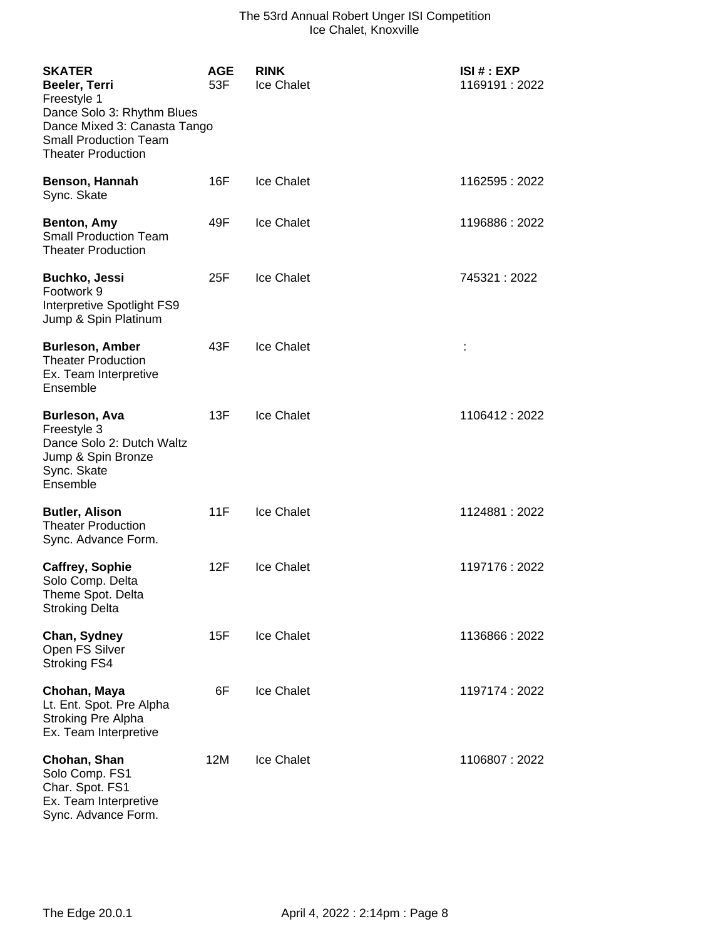| <b>SKATER</b><br>Beeler, Terri<br>Freestyle 1<br>Dance Solo 3: Rhythm Blues<br>Dance Mixed 3: Canasta Tango<br><b>Small Production Team</b><br><b>Theater Production</b> | <b>AGE</b><br>53F | <b>RINK</b><br>Ice Chalet | ISI# : EXP<br>1169191:2022 |
|--------------------------------------------------------------------------------------------------------------------------------------------------------------------------|-------------------|---------------------------|----------------------------|
| Benson, Hannah<br>Sync. Skate                                                                                                                                            | 16F               | <b>Ice Chalet</b>         | 1162595:2022               |
| Benton, Amy<br><b>Small Production Team</b><br><b>Theater Production</b>                                                                                                 | 49F               | Ice Chalet                | 1196886:2022               |
| <b>Buchko, Jessi</b><br>Footwork 9<br>Interpretive Spotlight FS9<br>Jump & Spin Platinum                                                                                 | 25F               | <b>Ice Chalet</b>         | 745321:2022                |
| <b>Burleson, Amber</b><br><b>Theater Production</b><br>Ex. Team Interpretive<br>Ensemble                                                                                 | 43F               | Ice Chalet                |                            |
| <b>Burleson, Ava</b><br>Freestyle 3<br>Dance Solo 2: Dutch Waltz<br>Jump & Spin Bronze<br>Sync. Skate<br>Ensemble                                                        | 13F               | Ice Chalet                | 1106412:2022               |
| <b>Butler, Alison</b><br><b>Theater Production</b><br>Sync. Advance Form.                                                                                                | 11F               | <b>Ice Chalet</b>         | 1124881 : 2022             |
| <b>Caffrey, Sophie</b><br>Solo Comp. Delta<br>Theme Spot. Delta<br><b>Stroking Delta</b>                                                                                 | 12F               | <b>Ice Chalet</b>         | 1197176: 2022              |
| Chan, Sydney<br>Open FS Silver<br><b>Stroking FS4</b>                                                                                                                    | 15F               | <b>Ice Chalet</b>         | 1136866: 2022              |
| Chohan, Maya<br>Lt. Ent. Spot. Pre Alpha<br>Stroking Pre Alpha<br>Ex. Team Interpretive                                                                                  | 6F                | Ice Chalet                | 1197174 : 2022             |
| Chohan, Shan<br>Solo Comp. FS1<br>Char. Spot. FS1<br>Ex. Team Interpretive<br>Sync. Advance Form.                                                                        | 12M               | Ice Chalet                | 1106807:2022               |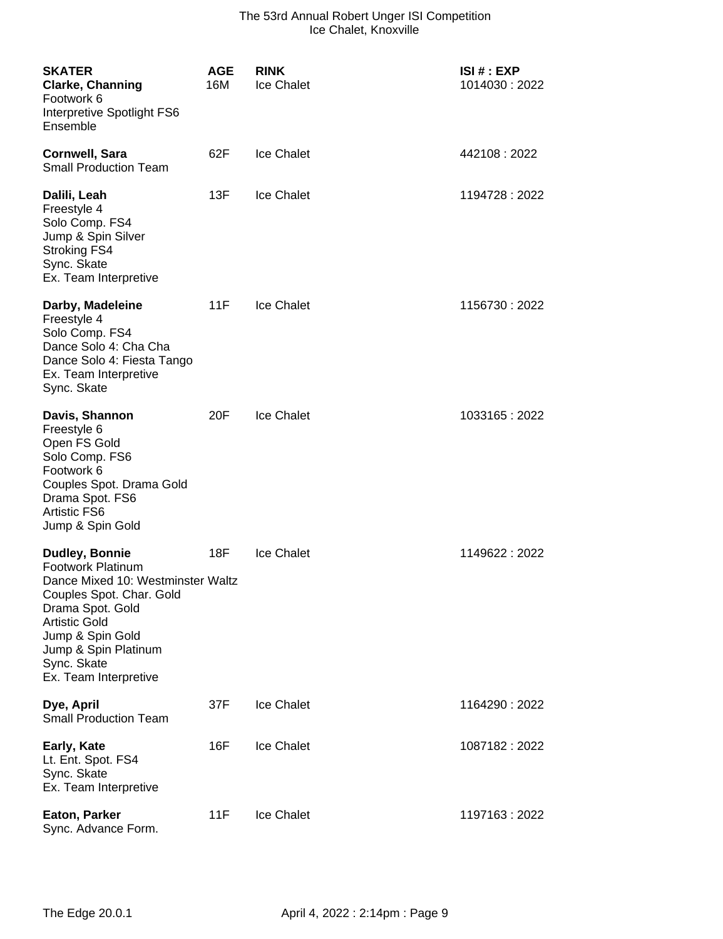| <b>SKATER</b><br><b>Clarke, Channing</b><br>Footwork 6<br>Interpretive Spotlight FS6<br>Ensemble                                                                                                                                                   | <b>AGE</b><br>16M | <b>RINK</b><br><b>Ice Chalet</b> | <b>ISI#: EXP</b><br>1014030 : 2022 |
|----------------------------------------------------------------------------------------------------------------------------------------------------------------------------------------------------------------------------------------------------|-------------------|----------------------------------|------------------------------------|
| Cornwell, Sara<br><b>Small Production Team</b>                                                                                                                                                                                                     | 62F               | <b>Ice Chalet</b>                | 442108:2022                        |
| Dalili, Leah<br>Freestyle 4<br>Solo Comp. FS4<br>Jump & Spin Silver<br><b>Stroking FS4</b><br>Sync. Skate<br>Ex. Team Interpretive                                                                                                                 | 13F               | <b>Ice Chalet</b>                | 1194728 : 2022                     |
| Darby, Madeleine<br>Freestyle 4<br>Solo Comp. FS4<br>Dance Solo 4: Cha Cha<br>Dance Solo 4: Fiesta Tango<br>Ex. Team Interpretive<br>Sync. Skate                                                                                                   | 11F               | <b>Ice Chalet</b>                | 1156730: 2022                      |
| Davis, Shannon<br>Freestyle 6<br>Open FS Gold<br>Solo Comp. FS6<br>Footwork 6<br>Couples Spot. Drama Gold<br>Drama Spot. FS6<br><b>Artistic FS6</b><br>Jump & Spin Gold                                                                            | 20F               | <b>Ice Chalet</b>                | 1033165: 2022                      |
| <b>Dudley, Bonnie</b><br><b>Footwork Platinum</b><br>Dance Mixed 10: Westminster Waltz<br>Couples Spot. Char. Gold<br>Drama Spot. Gold<br><b>Artistic Gold</b><br>Jump & Spin Gold<br>Jump & Spin Platinum<br>Sync. Skate<br>Ex. Team Interpretive | 18F               | <b>Ice Chalet</b>                | 1149622: 2022                      |
| Dye, April<br><b>Small Production Team</b>                                                                                                                                                                                                         | 37F               | <b>Ice Chalet</b>                | 1164290: 2022                      |
| <b>Early, Kate</b><br>Lt. Ent. Spot. FS4<br>Sync. Skate<br>Ex. Team Interpretive                                                                                                                                                                   | 16F               | <b>Ice Chalet</b>                | 1087182: 2022                      |
| <b>Eaton, Parker</b><br>Sync. Advance Form.                                                                                                                                                                                                        | 11F               | <b>Ice Chalet</b>                | 1197163 : 2022                     |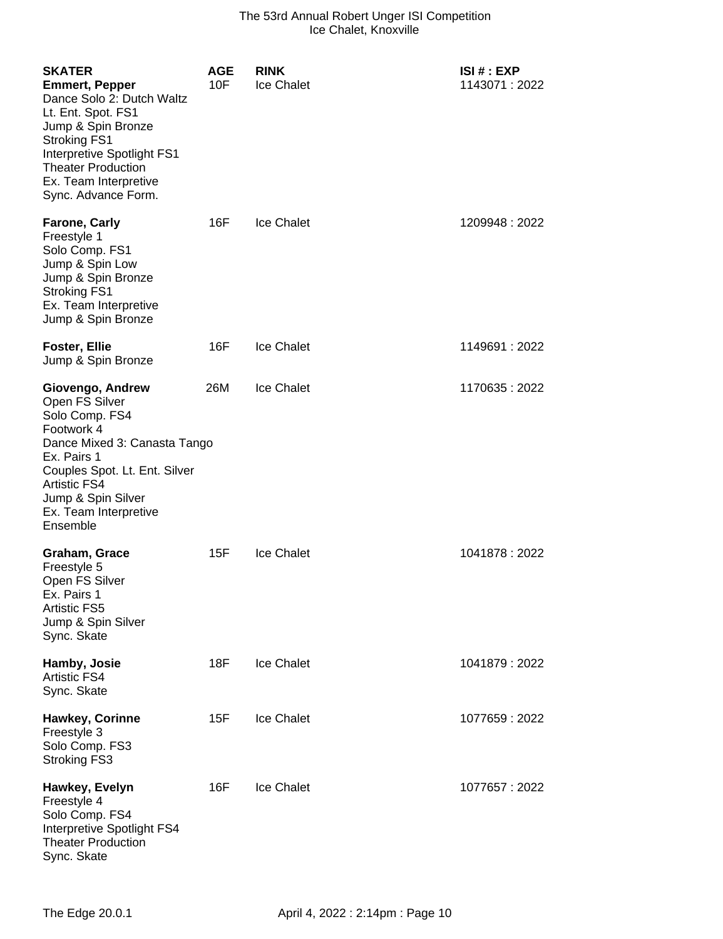| <b>SKATER</b><br><b>Emmert, Pepper</b><br>Dance Solo 2: Dutch Waltz<br>Lt. Ent. Spot. FS1<br>Jump & Spin Bronze<br><b>Stroking FS1</b><br>Interpretive Spotlight FS1<br><b>Theater Production</b><br>Ex. Team Interpretive<br>Sync. Advance Form. | <b>AGE</b><br>10F | <b>RINK</b><br>Ice Chalet | ISI # : EXP<br>1143071 : 2022 |
|---------------------------------------------------------------------------------------------------------------------------------------------------------------------------------------------------------------------------------------------------|-------------------|---------------------------|-------------------------------|
| <b>Farone, Carly</b><br>Freestyle 1<br>Solo Comp. FS1<br>Jump & Spin Low<br>Jump & Spin Bronze<br><b>Stroking FS1</b><br>Ex. Team Interpretive<br>Jump & Spin Bronze                                                                              | 16F               | <b>Ice Chalet</b>         | 1209948:2022                  |
| <b>Foster, Ellie</b><br>Jump & Spin Bronze                                                                                                                                                                                                        | 16F               | <b>Ice Chalet</b>         | 1149691 : 2022                |
| Giovengo, Andrew<br>Open FS Silver<br>Solo Comp. FS4<br>Footwork 4<br>Dance Mixed 3: Canasta Tango<br>Ex. Pairs 1<br>Couples Spot. Lt. Ent. Silver<br><b>Artistic FS4</b><br>Jump & Spin Silver<br>Ex. Team Interpretive<br>Ensemble              | 26M               | <b>Ice Chalet</b>         | 1170635:2022                  |
| Graham, Grace<br>Freestyle 5<br>Open FS Silver<br>Ex. Pairs 1<br><b>Artistic FS5</b><br>Jump & Spin Silver<br>Sync. Skate                                                                                                                         | 15F               | <b>Ice Chalet</b>         | 1041878 : 2022                |
| Hamby, Josie<br><b>Artistic FS4</b><br>Sync. Skate                                                                                                                                                                                                | <b>18F</b>        | <b>Ice Chalet</b>         | 1041879: 2022                 |
| <b>Hawkey, Corinne</b><br>Freestyle 3<br>Solo Comp. FS3<br><b>Stroking FS3</b>                                                                                                                                                                    | 15F               | <b>Ice Chalet</b>         | 1077659:2022                  |
| Hawkey, Evelyn<br>Freestyle 4<br>Solo Comp. FS4<br>Interpretive Spotlight FS4<br><b>Theater Production</b><br>Sync. Skate                                                                                                                         | 16F               | <b>Ice Chalet</b>         | 1077657: 2022                 |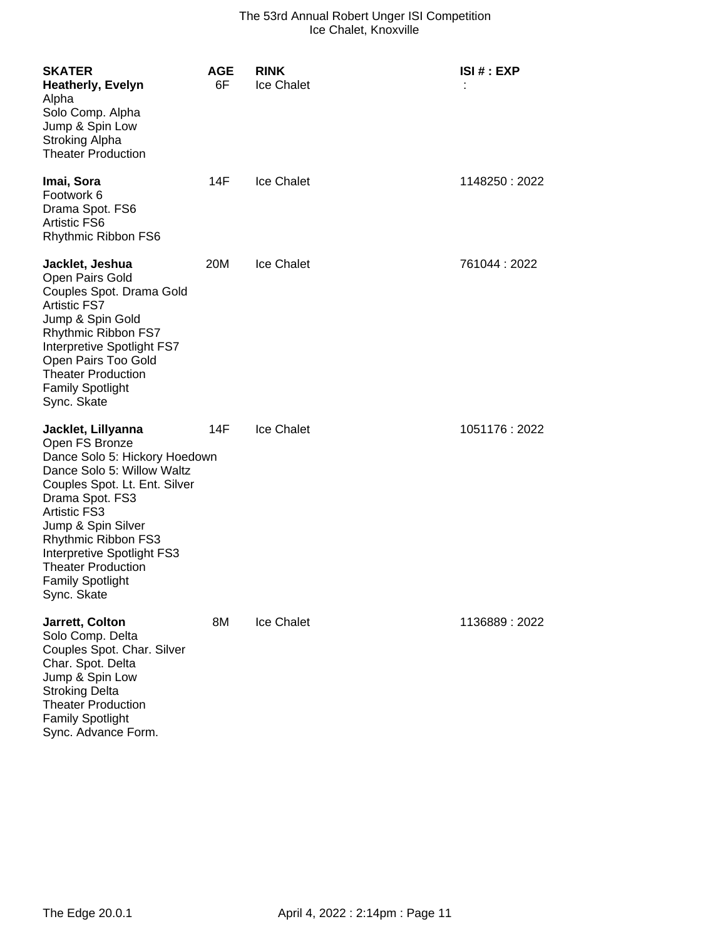| <b>SKATER</b><br>Heatherly, Evelyn<br>Alpha<br>Solo Comp. Alpha<br>Jump & Spin Low<br><b>Stroking Alpha</b><br><b>Theater Production</b>                                                                                                                                                                                         | <b>AGE</b><br>6F | <b>RINK</b><br>Ice Chalet | ISI # : EXP    |
|----------------------------------------------------------------------------------------------------------------------------------------------------------------------------------------------------------------------------------------------------------------------------------------------------------------------------------|------------------|---------------------------|----------------|
| Imai, Sora<br>Footwork 6<br>Drama Spot. FS6<br><b>Artistic FS6</b><br>Rhythmic Ribbon FS6                                                                                                                                                                                                                                        | 14F              | <b>Ice Chalet</b>         | 1148250 : 2022 |
| Jacklet, Jeshua<br>Open Pairs Gold<br>Couples Spot. Drama Gold<br><b>Artistic FS7</b><br>Jump & Spin Gold<br>Rhythmic Ribbon FS7<br>Interpretive Spotlight FS7<br>Open Pairs Too Gold<br><b>Theater Production</b><br><b>Family Spotlight</b><br>Sync. Skate                                                                     | 20M              | <b>Ice Chalet</b>         | 761044 : 2022  |
| Jacklet, Lillyanna<br>Open FS Bronze<br>Dance Solo 5: Hickory Hoedown<br>Dance Solo 5: Willow Waltz<br>Couples Spot. Lt. Ent. Silver<br>Drama Spot. FS3<br><b>Artistic FS3</b><br>Jump & Spin Silver<br>Rhythmic Ribbon FS3<br>Interpretive Spotlight FS3<br><b>Theater Production</b><br><b>Family Spotlight</b><br>Sync. Skate | 14F              | <b>Ice Chalet</b>         | 1051176 : 2022 |
| Jarrett, Colton<br>Solo Comp. Delta<br>Couples Spot. Char. Silver<br>Char. Spot. Delta<br>Jump & Spin Low<br><b>Stroking Delta</b><br><b>Theater Production</b><br><b>Family Spotlight</b>                                                                                                                                       | 8M               | <b>Ice Chalet</b>         | 1136889 : 2022 |

Sync. Advance Form.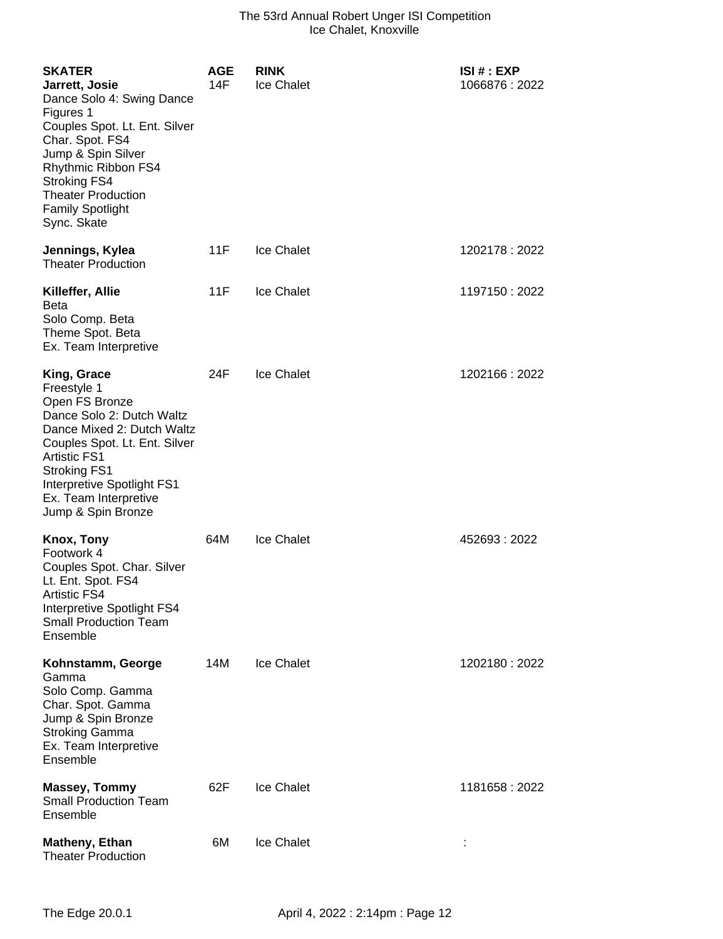| <b>SKATER</b><br>Jarrett, Josie<br>Dance Solo 4: Swing Dance<br>Figures 1<br>Couples Spot. Lt. Ent. Silver<br>Char. Spot. FS4<br>Jump & Spin Silver<br>Rhythmic Ribbon FS4<br><b>Stroking FS4</b><br><b>Theater Production</b><br><b>Family Spotlight</b><br>Sync. Skate | <b>AGE</b><br>14F | <b>RINK</b><br>Ice Chalet | ISI # : EXP<br>1066876: 2022 |
|--------------------------------------------------------------------------------------------------------------------------------------------------------------------------------------------------------------------------------------------------------------------------|-------------------|---------------------------|------------------------------|
| Jennings, Kylea<br><b>Theater Production</b>                                                                                                                                                                                                                             | 11F               | <b>Ice Chalet</b>         | 1202178:2022                 |
| Killeffer, Allie<br><b>Beta</b><br>Solo Comp. Beta<br>Theme Spot. Beta<br>Ex. Team Interpretive                                                                                                                                                                          | 11F               | <b>Ice Chalet</b>         | 1197150 : 2022               |
| King, Grace<br>Freestyle 1<br>Open FS Bronze<br>Dance Solo 2: Dutch Waltz<br>Dance Mixed 2: Dutch Waltz<br>Couples Spot. Lt. Ent. Silver<br><b>Artistic FS1</b><br><b>Stroking FS1</b><br>Interpretive Spotlight FS1<br>Ex. Team Interpretive<br>Jump & Spin Bronze      | 24F               | Ice Chalet                | 1202166 : 2022               |
| Knox, Tony<br>Footwork 4<br>Couples Spot. Char. Silver<br>Lt. Ent. Spot. FS4<br><b>Artistic FS4</b><br>Interpretive Spotlight FS4<br><b>Small Production Team</b><br>Ensemble                                                                                            | 64M               | <b>Ice Chalet</b>         | 452693:2022                  |
| Kohnstamm, George<br>Gamma<br>Solo Comp. Gamma<br>Char. Spot. Gamma<br>Jump & Spin Bronze<br><b>Stroking Gamma</b><br>Ex. Team Interpretive<br>Ensemble                                                                                                                  | 14M               | Ice Chalet                | 1202180: 2022                |
| <b>Massey, Tommy</b><br><b>Small Production Team</b><br>Ensemble                                                                                                                                                                                                         | 62F               | Ice Chalet                | 1181658 : 2022               |
| <b>Matheny, Ethan</b><br><b>Theater Production</b>                                                                                                                                                                                                                       | 6M                | <b>Ice Chalet</b>         |                              |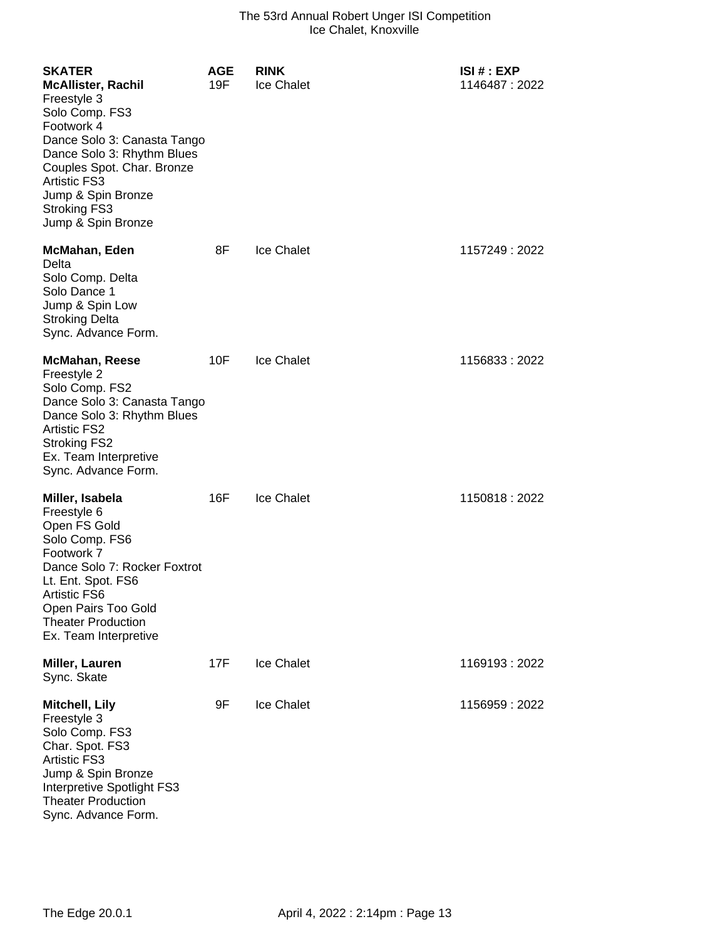| <b>SKATER</b><br><b>McAllister, Rachil</b><br>Freestyle 3<br>Solo Comp. FS3<br>Footwork 4<br>Dance Solo 3: Canasta Tango<br>Dance Solo 3: Rhythm Blues<br>Couples Spot. Char. Bronze<br><b>Artistic FS3</b><br>Jump & Spin Bronze<br><b>Stroking FS3</b><br>Jump & Spin Bronze | <b>AGE</b><br>19F | <b>RINK</b><br>Ice Chalet | ISI # : EXP<br>1146487: 2022 |
|--------------------------------------------------------------------------------------------------------------------------------------------------------------------------------------------------------------------------------------------------------------------------------|-------------------|---------------------------|------------------------------|
| McMahan, Eden<br>Delta<br>Solo Comp. Delta<br>Solo Dance 1<br>Jump & Spin Low<br><b>Stroking Delta</b><br>Sync. Advance Form.                                                                                                                                                  | 8F                | Ice Chalet                | 1157249 : 2022               |
| <b>McMahan, Reese</b><br>Freestyle 2<br>Solo Comp. FS2<br>Dance Solo 3: Canasta Tango<br>Dance Solo 3: Rhythm Blues<br><b>Artistic FS2</b><br><b>Stroking FS2</b><br>Ex. Team Interpretive<br>Sync. Advance Form.                                                              | 10F               | <b>Ice Chalet</b>         | 1156833: 2022                |
| Miller, Isabela<br>Freestyle 6<br>Open FS Gold<br>Solo Comp. FS6<br>Footwork 7<br>Dance Solo 7: Rocker Foxtrot<br>Lt. Ent. Spot. FS6<br>Artistic FS6<br>Open Pairs Too Gold<br><b>Theater Production</b><br>Ex. Team Interpretive                                              | 16F               | Ice Chalet                | 1150818:2022                 |
| Miller, Lauren<br>Sync. Skate                                                                                                                                                                                                                                                  | 17F               | <b>Ice Chalet</b>         | 1169193 : 2022               |
| Mitchell, Lily<br>Freestyle 3<br>Solo Comp. FS3<br>Char. Spot. FS3<br><b>Artistic FS3</b><br>Jump & Spin Bronze<br>Interpretive Spotlight FS3<br><b>Theater Production</b><br>Sync. Advance Form.                                                                              | 9F                | <b>Ice Chalet</b>         | 1156959:2022                 |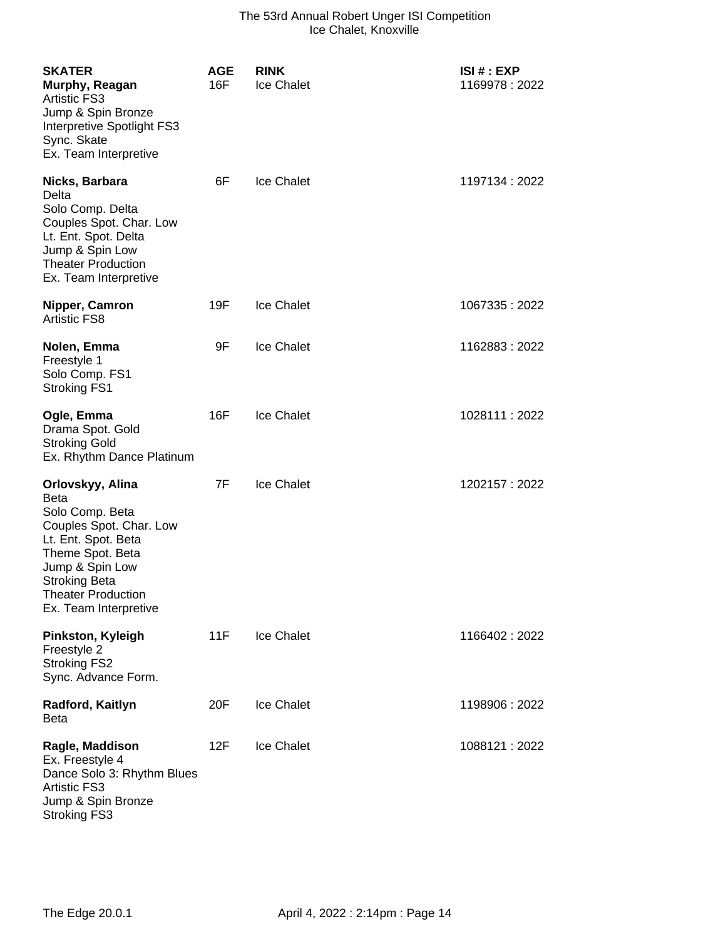| <b>SKATER</b><br>Murphy, Reagan<br><b>Artistic FS3</b><br>Jump & Spin Bronze<br>Interpretive Spotlight FS3<br>Sync. Skate<br>Ex. Team Interpretive                                                                        | <b>AGE</b><br>16F | <b>RINK</b><br>Ice Chalet | ISI # : EXP<br>1169978:2022 |
|---------------------------------------------------------------------------------------------------------------------------------------------------------------------------------------------------------------------------|-------------------|---------------------------|-----------------------------|
| Nicks, Barbara<br>Delta<br>Solo Comp. Delta<br>Couples Spot. Char. Low<br>Lt. Ent. Spot. Delta<br>Jump & Spin Low<br><b>Theater Production</b><br>Ex. Team Interpretive                                                   | 6F                | <b>Ice Chalet</b>         | 1197134: 2022               |
| Nipper, Camron<br>Artistic FS8                                                                                                                                                                                            | 19F               | <b>Ice Chalet</b>         | 1067335:2022                |
| Nolen, Emma<br>Freestyle 1<br>Solo Comp. FS1<br><b>Stroking FS1</b>                                                                                                                                                       | 9F                | <b>Ice Chalet</b>         | 1162883:2022                |
| Ogle, Emma<br>Drama Spot. Gold<br><b>Stroking Gold</b><br>Ex. Rhythm Dance Platinum                                                                                                                                       | 16F               | <b>Ice Chalet</b>         | 1028111:2022                |
| Orlovskyy, Alina<br><b>Beta</b><br>Solo Comp. Beta<br>Couples Spot. Char. Low<br>Lt. Ent. Spot. Beta<br>Theme Spot. Beta<br>Jump & Spin Low<br><b>Stroking Beta</b><br><b>Theater Production</b><br>Ex. Team Interpretive | 7F                | <b>Ice Chalet</b>         | 1202157: 2022               |
| Pinkston, Kyleigh<br>Freestyle 2<br><b>Stroking FS2</b><br>Sync. Advance Form.                                                                                                                                            | 11F               | Ice Chalet                | 1166402:2022                |
| Radford, Kaitlyn<br><b>Beta</b>                                                                                                                                                                                           | 20F               | <b>Ice Chalet</b>         | 1198906 : 2022              |
| Ragle, Maddison<br>Ex. Freestyle 4<br>Dance Solo 3: Rhythm Blues<br><b>Artistic FS3</b><br>Jump & Spin Bronze<br><b>Stroking FS3</b>                                                                                      | 12F               | Ice Chalet                | 1088121 : 2022              |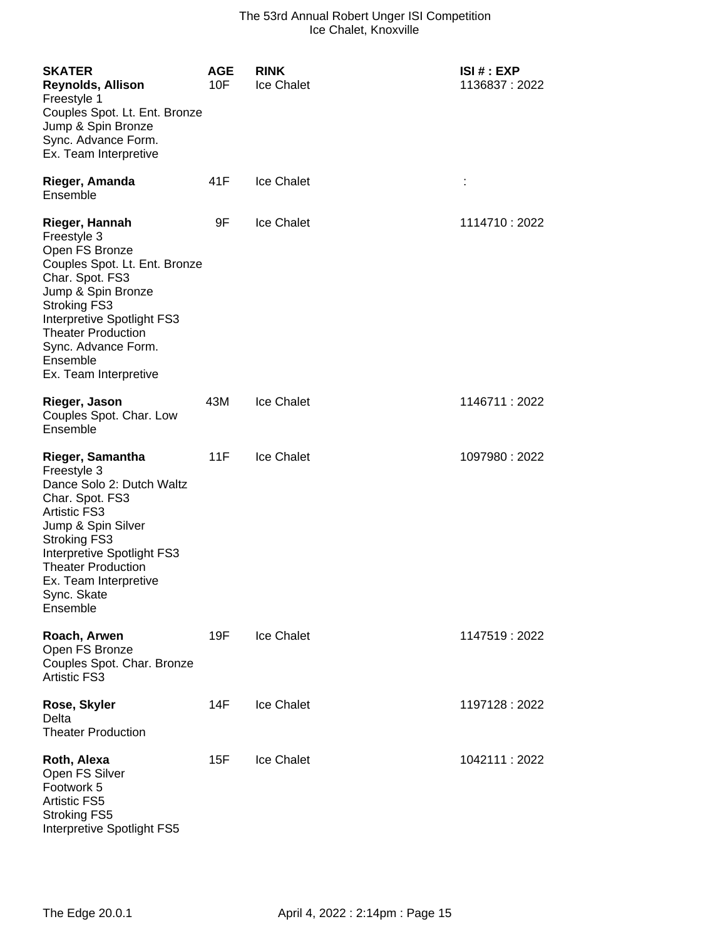| <b>SKATER</b><br><b>Reynolds, Allison</b><br>Freestyle 1<br>Couples Spot. Lt. Ent. Bronze<br>Jump & Spin Bronze<br>Sync. Advance Form.<br>Ex. Team Interpretive                                                                                                         | <b>AGE</b><br>10F | <b>RINK</b><br>Ice Chalet | ISI # : EXP<br>1136837: 2022 |
|-------------------------------------------------------------------------------------------------------------------------------------------------------------------------------------------------------------------------------------------------------------------------|-------------------|---------------------------|------------------------------|
| Rieger, Amanda<br>Ensemble                                                                                                                                                                                                                                              | 41F               | <b>Ice Chalet</b>         | ÷                            |
| Rieger, Hannah<br>Freestyle 3<br>Open FS Bronze<br>Couples Spot. Lt. Ent. Bronze<br>Char. Spot. FS3<br>Jump & Spin Bronze<br><b>Stroking FS3</b><br>Interpretive Spotlight FS3<br><b>Theater Production</b><br>Sync. Advance Form.<br>Ensemble<br>Ex. Team Interpretive | 9F                | Ice Chalet                | 1114710 : 2022               |
| Rieger, Jason<br>Couples Spot. Char. Low<br>Ensemble                                                                                                                                                                                                                    | 43M               | Ice Chalet                | 1146711 : 2022               |
| Rieger, Samantha<br>Freestyle 3<br>Dance Solo 2: Dutch Waltz<br>Char. Spot. FS3<br><b>Artistic FS3</b><br>Jump & Spin Silver<br><b>Stroking FS3</b><br>Interpretive Spotlight FS3<br><b>Theater Production</b><br>Ex. Team Interpretive<br>Sync. Skate<br>Ensemble      | 11F               | Ice Chalet                | 1097980: 2022                |
| Roach, Arwen<br>Open FS Bronze<br>Couples Spot. Char. Bronze<br><b>Artistic FS3</b>                                                                                                                                                                                     | 19F               | Ice Chalet                | 1147519:2022                 |
| Rose, Skyler<br>Delta<br><b>Theater Production</b>                                                                                                                                                                                                                      | 14F               | Ice Chalet                | 1197128 : 2022               |
| Roth, Alexa<br>Open FS Silver<br>Footwork 5<br><b>Artistic FS5</b><br><b>Stroking FS5</b><br>Interpretive Spotlight FS5                                                                                                                                                 | 15F               | Ice Chalet                | 1042111:2022                 |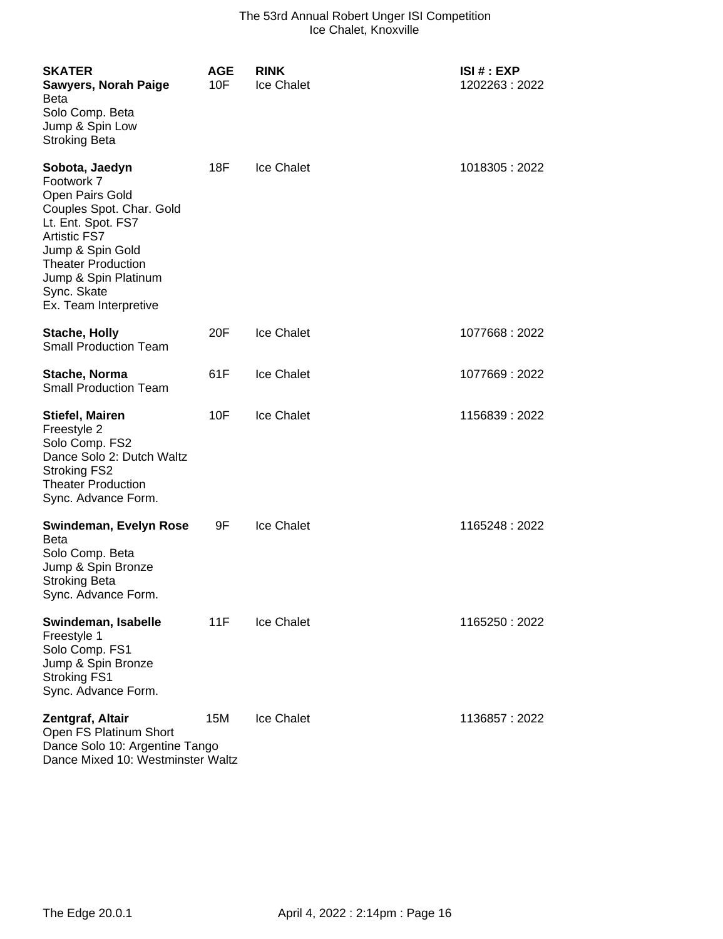| <b>SKATER</b><br><b>Sawyers, Norah Paige</b><br>Beta<br>Solo Comp. Beta<br>Jump & Spin Low<br><b>Stroking Beta</b>                                                                                                                        | <b>AGE</b><br>10F | <b>RINK</b><br>Ice Chalet | ISI # : EXP<br>1202263:2022 |
|-------------------------------------------------------------------------------------------------------------------------------------------------------------------------------------------------------------------------------------------|-------------------|---------------------------|-----------------------------|
| Sobota, Jaedyn<br>Footwork 7<br>Open Pairs Gold<br>Couples Spot. Char. Gold<br>Lt. Ent. Spot. FS7<br><b>Artistic FS7</b><br>Jump & Spin Gold<br><b>Theater Production</b><br>Jump & Spin Platinum<br>Sync. Skate<br>Ex. Team Interpretive | 18F               | Ice Chalet                | 1018305:2022                |
| <b>Stache, Holly</b><br><b>Small Production Team</b>                                                                                                                                                                                      | 20F               | <b>Ice Chalet</b>         | 1077668 : 2022              |
| Stache, Norma<br><b>Small Production Team</b>                                                                                                                                                                                             | 61F               | <b>Ice Chalet</b>         | 1077669:2022                |
| <b>Stiefel, Mairen</b><br>Freestyle 2<br>Solo Comp. FS2<br>Dance Solo 2: Dutch Waltz<br><b>Stroking FS2</b><br><b>Theater Production</b><br>Sync. Advance Form.                                                                           | 10F               | <b>Ice Chalet</b>         | 1156839 : 2022              |
| Swindeman, Evelyn Rose<br><b>Beta</b><br>Solo Comp. Beta<br>Jump & Spin Bronze<br><b>Stroking Beta</b><br>Sync. Advance Form.                                                                                                             | 9F                | <b>Ice Chalet</b>         | 1165248 : 2022              |
| Swindeman, Isabelle<br>Freestyle 1<br>Solo Comp. FS1<br>Jump & Spin Bronze<br><b>Stroking FS1</b><br>Sync. Advance Form.                                                                                                                  | 11F               | <b>Ice Chalet</b>         | 1165250 : 2022              |
| Zentgraf, Altair<br>Open FS Platinum Short<br>Dance Solo 10: Argentine Tango<br>Dance Mixed 10: Westminster Waltz                                                                                                                         | 15M               | <b>Ice Chalet</b>         | 1136857: 2022               |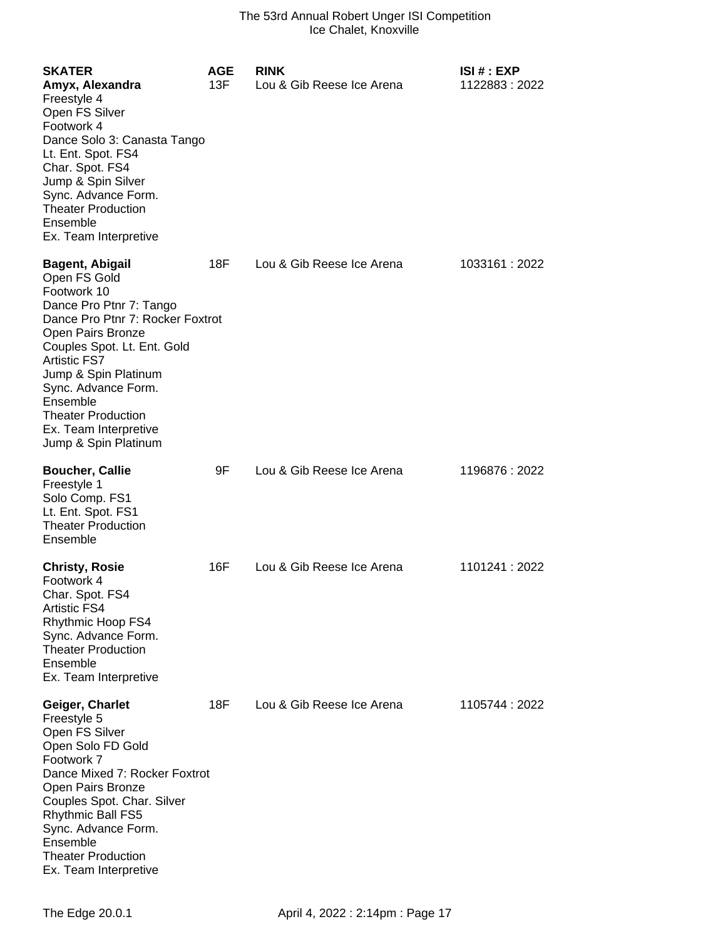| <b>SKATER</b><br>Amyx, Alexandra<br>Freestyle 4<br>Open FS Silver<br>Footwork 4<br>Dance Solo 3: Canasta Tango<br>Lt. Ent. Spot. FS4<br>Char. Spot. FS4<br>Jump & Spin Silver<br>Sync. Advance Form.<br><b>Theater Production</b><br>Ensemble<br>Ex. Team Interpretive                                                                   | <b>AGE</b><br>13F | <b>RINK</b><br>Lou & Gib Reese Ice Arena | <b>ISI#: EXP</b><br>1122883:2022 |
|------------------------------------------------------------------------------------------------------------------------------------------------------------------------------------------------------------------------------------------------------------------------------------------------------------------------------------------|-------------------|------------------------------------------|----------------------------------|
| <b>Bagent, Abigail</b><br>Open FS Gold<br>Footwork 10<br>Dance Pro Ptnr 7: Tango<br>Dance Pro Ptnr 7: Rocker Foxtrot<br>Open Pairs Bronze<br>Couples Spot. Lt. Ent. Gold<br><b>Artistic FS7</b><br>Jump & Spin Platinum<br>Sync. Advance Form.<br>Ensemble<br><b>Theater Production</b><br>Ex. Team Interpretive<br>Jump & Spin Platinum | 18F               | Lou & Gib Reese Ice Arena                | 1033161:2022                     |
| <b>Boucher, Callie</b><br>Freestyle 1<br>Solo Comp. FS1<br>Lt. Ent. Spot. FS1<br><b>Theater Production</b><br>Ensemble                                                                                                                                                                                                                   | 9F                | Lou & Gib Reese Ice Arena                | 1196876: 2022                    |
| <b>Christy, Rosie</b><br>Footwork 4<br>Char. Spot. FS4<br><b>Artistic FS4</b><br>Rhythmic Hoop FS4<br>Sync. Advance Form.<br><b>Theater Production</b><br>Ensemble<br>Ex. Team Interpretive                                                                                                                                              | 16F               | Lou & Gib Reese Ice Arena                | 1101241 : 2022                   |
| Geiger, Charlet<br>Freestyle 5<br>Open FS Silver<br>Open Solo FD Gold<br>Footwork 7<br>Dance Mixed 7: Rocker Foxtrot<br>Open Pairs Bronze<br>Couples Spot. Char. Silver<br><b>Rhythmic Ball FS5</b><br>Sync. Advance Form.<br>Ensemble<br><b>Theater Production</b><br>Ex. Team Interpretive                                             | 18F               | Lou & Gib Reese Ice Arena                | 1105744 : 2022                   |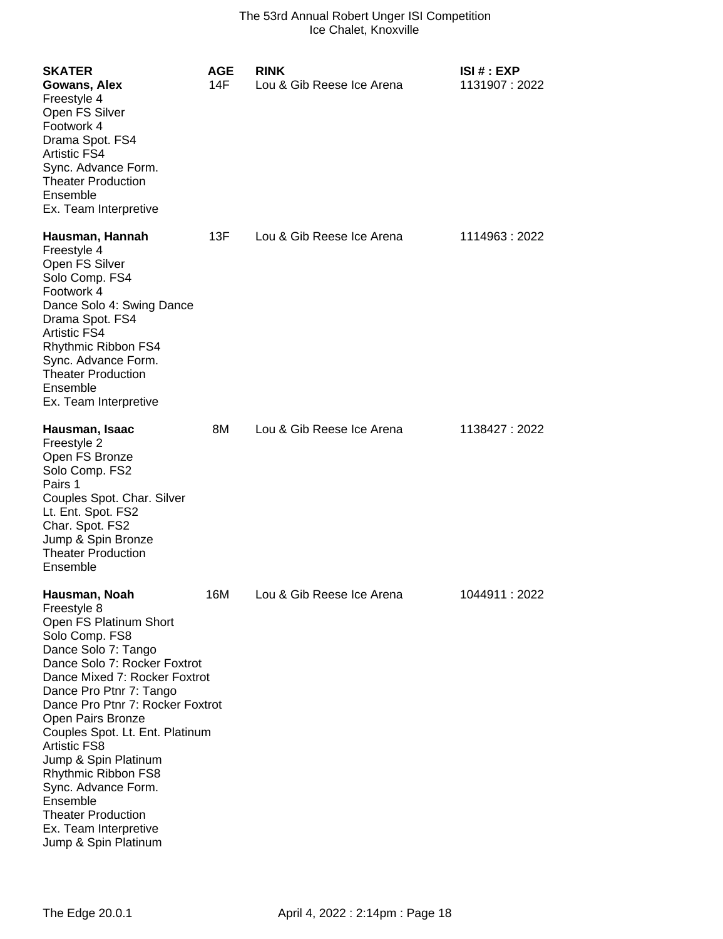| <b>SKATER</b><br>Gowans, Alex<br>Freestyle 4<br>Open FS Silver<br>Footwork 4<br>Drama Spot. FS4<br><b>Artistic FS4</b><br>Sync. Advance Form.<br><b>Theater Production</b><br>Ensemble<br>Ex. Team Interpretive                                                                                                                                                                                                                                                                | <b>AGE</b><br>14F | <b>RINK</b><br>Lou & Gib Reese Ice Arena | ISI # : EXP<br>1131907: 2022 |
|--------------------------------------------------------------------------------------------------------------------------------------------------------------------------------------------------------------------------------------------------------------------------------------------------------------------------------------------------------------------------------------------------------------------------------------------------------------------------------|-------------------|------------------------------------------|------------------------------|
| Hausman, Hannah<br>Freestyle 4<br>Open FS Silver<br>Solo Comp. FS4<br>Footwork 4<br>Dance Solo 4: Swing Dance<br>Drama Spot. FS4<br><b>Artistic FS4</b><br>Rhythmic Ribbon FS4<br>Sync. Advance Form.<br><b>Theater Production</b><br>Ensemble<br>Ex. Team Interpretive                                                                                                                                                                                                        | 13F               | Lou & Gib Reese Ice Arena                | 1114963: 2022                |
| Hausman, Isaac<br>Freestyle 2<br>Open FS Bronze<br>Solo Comp. FS2<br>Pairs 1<br>Couples Spot. Char. Silver<br>Lt. Ent. Spot. FS2<br>Char. Spot. FS2<br>Jump & Spin Bronze<br><b>Theater Production</b><br>Ensemble                                                                                                                                                                                                                                                             | 8M                | Lou & Gib Reese Ice Arena                | 1138427 : 2022               |
| Hausman, Noah<br>Freestyle 8<br>Open FS Platinum Short<br>Solo Comp. FS8<br>Dance Solo 7: Tango<br>Dance Solo 7: Rocker Foxtrot<br>Dance Mixed 7: Rocker Foxtrot<br>Dance Pro Ptnr 7: Tango<br>Dance Pro Ptnr 7: Rocker Foxtrot<br>Open Pairs Bronze<br>Couples Spot. Lt. Ent. Platinum<br><b>Artistic FS8</b><br>Jump & Spin Platinum<br>Rhythmic Ribbon FS8<br>Sync. Advance Form.<br>Ensemble<br><b>Theater Production</b><br>Ex. Team Interpretive<br>Jump & Spin Platinum | 16M               | Lou & Gib Reese Ice Arena                | 1044911:2022                 |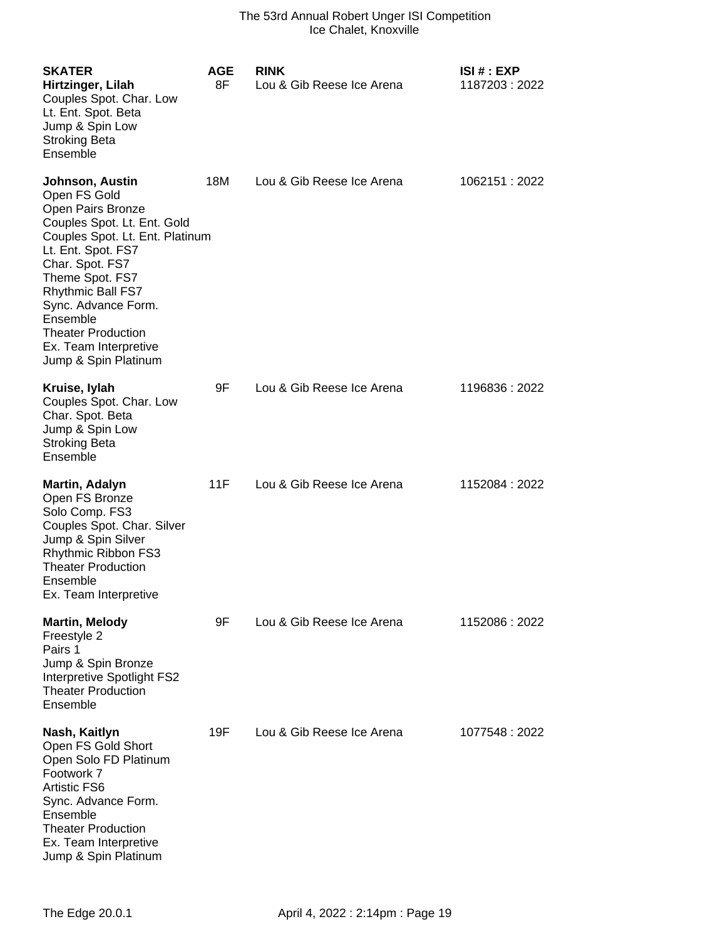| <b>SKATER</b><br>Hirtzinger, Lilah<br>Couples Spot. Char. Low<br>Lt. Ent. Spot. Beta<br>Jump & Spin Low<br><b>Stroking Beta</b><br>Ensemble                                                                                                                                                                              | <b>AGE</b><br>8F | <b>RINK</b><br>Lou & Gib Reese Ice Arena | ISI# : EXP<br>1187203:2022 |
|--------------------------------------------------------------------------------------------------------------------------------------------------------------------------------------------------------------------------------------------------------------------------------------------------------------------------|------------------|------------------------------------------|----------------------------|
| Johnson, Austin<br>Open FS Gold<br>Open Pairs Bronze<br>Couples Spot. Lt. Ent. Gold<br>Couples Spot. Lt. Ent. Platinum<br>Lt. Ent. Spot. FS7<br>Char. Spot. FS7<br>Theme Spot. FS7<br>Rhythmic Ball FS7<br>Sync. Advance Form.<br>Ensemble<br><b>Theater Production</b><br>Ex. Team Interpretive<br>Jump & Spin Platinum | 18M              | Lou & Gib Reese Ice Arena                | 1062151 : 2022             |
| Kruise, lylah<br>Couples Spot. Char. Low<br>Char. Spot. Beta<br>Jump & Spin Low<br><b>Stroking Beta</b><br>Ensemble                                                                                                                                                                                                      | 9F               | Lou & Gib Reese Ice Arena                | 1196836:2022               |
| Martin, Adalyn<br>Open FS Bronze<br>Solo Comp. FS3<br>Couples Spot. Char. Silver<br>Jump & Spin Silver<br>Rhythmic Ribbon FS3<br><b>Theater Production</b><br>Ensemble<br>Ex. Team Interpretive                                                                                                                          | 11F              | Lou & Gib Reese Ice Arena                | 1152084: 2022              |
| <b>Martin, Melody</b><br>Freestyle 2<br>Pairs 1<br>Jump & Spin Bronze<br>Interpretive Spotlight FS2<br><b>Theater Production</b><br>Ensemble                                                                                                                                                                             | 9F               | Lou & Gib Reese Ice Arena                | 1152086 : 2022             |
| Nash, Kaitlyn<br>Open FS Gold Short<br>Open Solo FD Platinum<br>Footwork 7<br><b>Artistic FS6</b><br>Sync. Advance Form.<br>Ensemble<br><b>Theater Production</b><br>Ex. Team Interpretive<br>Jump & Spin Platinum                                                                                                       | 19F              | Lou & Gib Reese Ice Arena                | 1077548: 2022              |